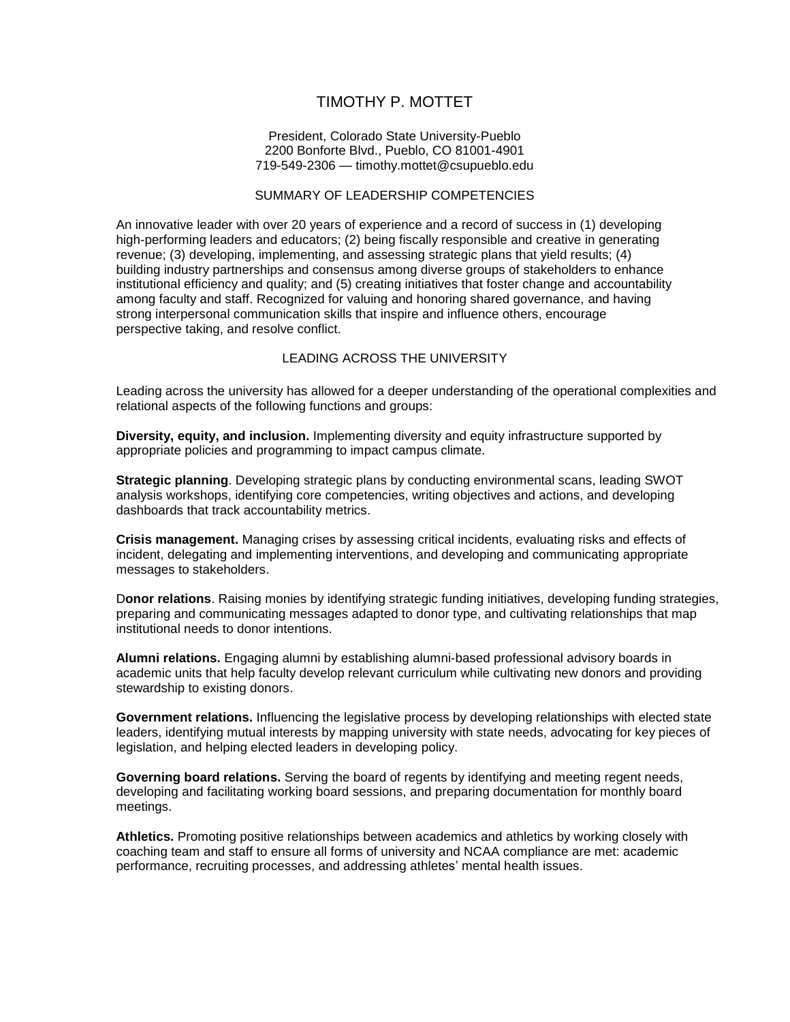# TIMOTHY P. MOTTET

### President, Colorado State University-Pueblo 2200 Bonforte Blvd., Pueblo, CO 81001-4901 719-549-2306 — timothy.mottet@csupueblo.edu

# SUMMARY OF LEADERSHIP COMPETENCIES

An innovative leader with over 20 years of experience and a record of success in (1) developing high-performing leaders and educators; (2) being fiscally responsible and creative in generating revenue; (3) developing, implementing, and assessing strategic plans that yield results; (4) building industry partnerships and consensus among diverse groups of stakeholders to enhance institutional efficiency and quality; and (5) creating initiatives that foster change and accountability among faculty and staff. Recognized for valuing and honoring shared governance, and having strong interpersonal communication skills that inspire and influence others, encourage perspective taking, and resolve conflict.

# LEADING ACROSS THE UNIVERSITY

Leading across the university has allowed for a deeper understanding of the operational complexities and relational aspects of the following functions and groups:

**Diversity, equity, and inclusion.** Implementing diversity and equity infrastructure supported by appropriate policies and programming to impact campus climate.

**Strategic planning**. Developing strategic plans by conducting environmental scans, leading SWOT analysis workshops, identifying core competencies, writing objectives and actions, and developing dashboards that track accountability metrics.

**Crisis management.** Managing crises by assessing critical incidents, evaluating risks and effects of incident, delegating and implementing interventions, and developing and communicating appropriate messages to stakeholders.

D**onor relations**. Raising monies by identifying strategic funding initiatives, developing funding strategies, preparing and communicating messages adapted to donor type, and cultivating relationships that map institutional needs to donor intentions.

**Alumni relations.** Engaging alumni by establishing alumni-based professional advisory boards in academic units that help faculty develop relevant curriculum while cultivating new donors and providing stewardship to existing donors.

**Government relations.** Influencing the legislative process by developing relationships with elected state leaders, identifying mutual interests by mapping university with state needs, advocating for key pieces of legislation, and helping elected leaders in developing policy.

**Governing board relations.** Serving the board of regents by identifying and meeting regent needs, developing and facilitating working board sessions, and preparing documentation for monthly board meetings.

**Athletics.** Promoting positive relationships between academics and athletics by working closely with coaching team and staff to ensure all forms of university and NCAA compliance are met: academic performance, recruiting processes, and addressing athletes' mental health issues.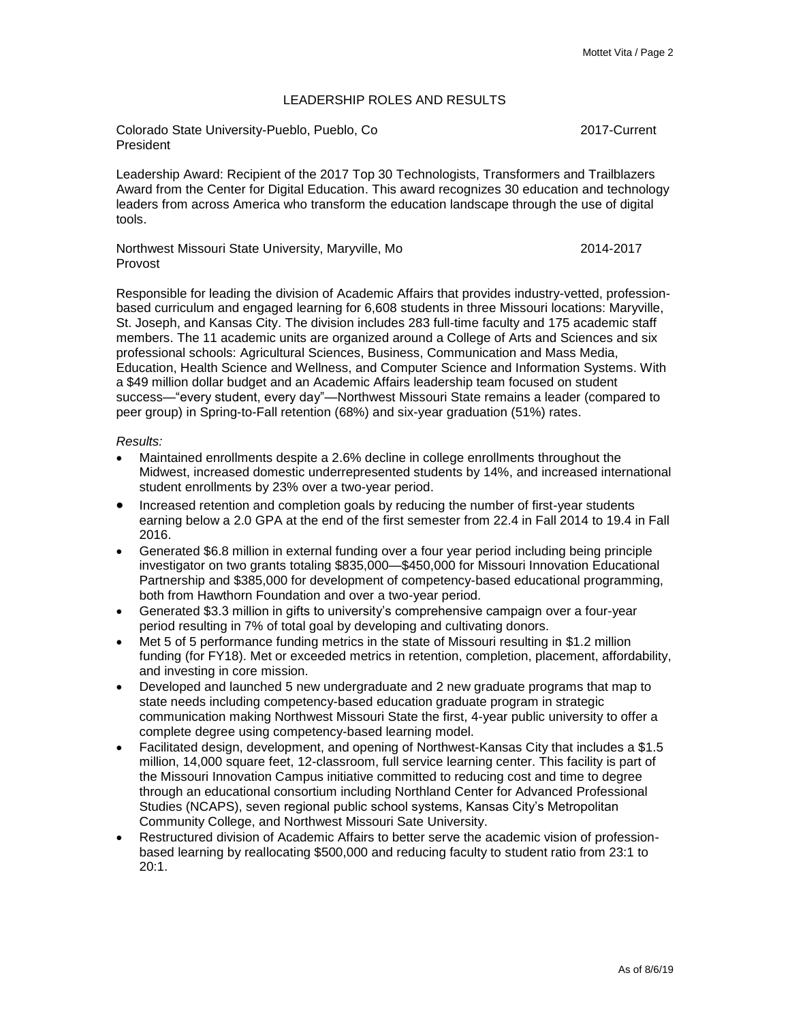# LEADERSHIP ROLES AND RESULTS

Colorado State University-Pueblo, Pueblo, Co 2017-Current President

Leadership Award: Recipient of the 2017 Top 30 Technologists, Transformers and Trailblazers Award from the Center for Digital Education. This award recognizes 30 education and technology leaders from across America who transform the education landscape through the use of digital tools.

Northwest Missouri State University, Maryville, Mo 2014-2017 Provost

Responsible for leading the division of Academic Affairs that provides industry-vetted, professionbased curriculum and engaged learning for 6,608 students in three Missouri locations: Maryville, St. Joseph, and Kansas City. The division includes 283 full-time faculty and 175 academic staff members. The 11 academic units are organized around a College of Arts and Sciences and six professional schools: Agricultural Sciences, Business, Communication and Mass Media, Education, Health Science and Wellness, and Computer Science and Information Systems. With a \$49 million dollar budget and an Academic Affairs leadership team focused on student success—"every student, every day"—Northwest Missouri State remains a leader (compared to peer group) in Spring-to-Fall retention (68%) and six-year graduation (51%) rates.

#### *Results:*

- Maintained enrollments despite a 2.6% decline in college enrollments throughout the Midwest, increased domestic underrepresented students by 14%, and increased international student enrollments by 23% over a two-year period.
- Increased retention and completion goals by reducing the number of first-year students earning below a 2.0 GPA at the end of the first semester from 22.4 in Fall 2014 to 19.4 in Fall 2016.
- Generated \$6.8 million in external funding over a four year period including being principle investigator on two grants totaling \$835,000—\$450,000 for Missouri Innovation Educational Partnership and \$385,000 for development of competency-based educational programming, both from Hawthorn Foundation and over a two-year period.
- Generated \$3.3 million in gifts to university's comprehensive campaign over a four-year period resulting in 7% of total goal by developing and cultivating donors.
- Met 5 of 5 performance funding metrics in the state of Missouri resulting in \$1.2 million funding (for FY18). Met or exceeded metrics in retention, completion, placement, affordability, and investing in core mission.
- Developed and launched 5 new undergraduate and 2 new graduate programs that map to state needs including competency-based education graduate program in strategic communication making Northwest Missouri State the first, 4-year public university to offer a complete degree using competency-based learning model.
- Facilitated design, development, and opening of Northwest-Kansas City that includes a \$1.5 million, 14,000 square feet, 12-classroom, full service learning center. This facility is part of the Missouri Innovation Campus initiative committed to reducing cost and time to degree through an educational consortium including Northland Center for Advanced Professional Studies (NCAPS), seven regional public school systems, Kansas City's Metropolitan Community College, and Northwest Missouri Sate University.
- Restructured division of Academic Affairs to better serve the academic vision of professionbased learning by reallocating \$500,000 and reducing faculty to student ratio from 23:1 to 20:1.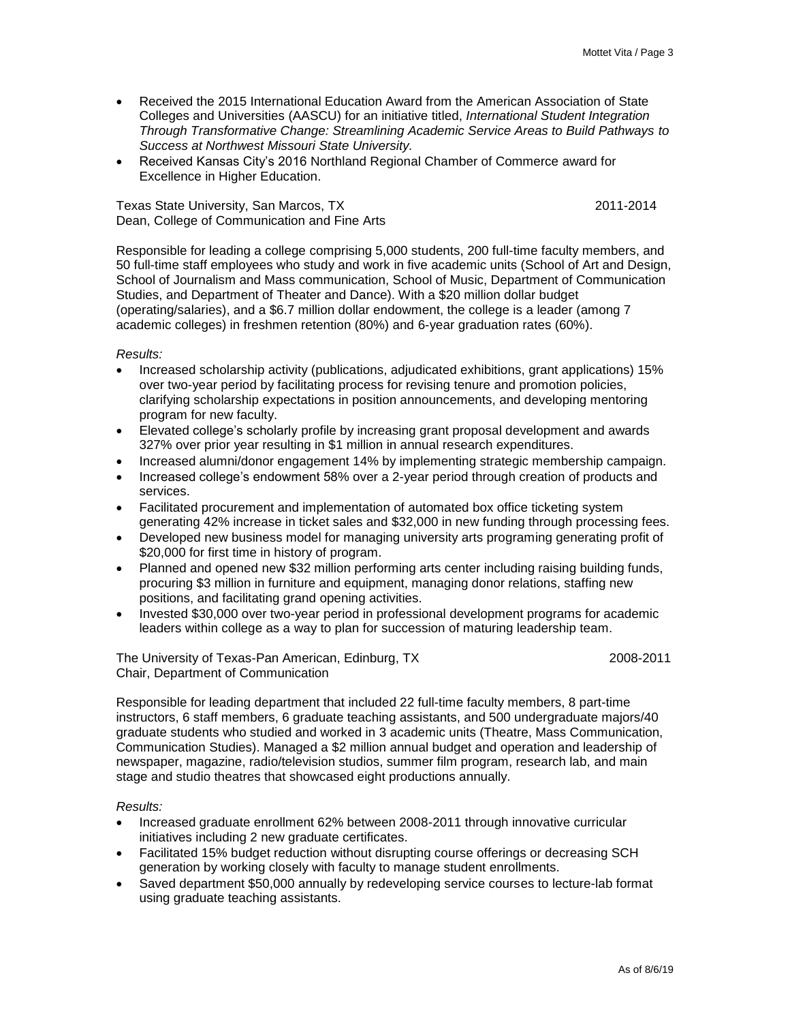- Received the 2015 International Education Award from the American Association of State Colleges and Universities (AASCU) for an initiative titled, *International Student Integration Through Transformative Change: Streamlining Academic Service Areas to Build Pathways to Success at Northwest Missouri State University.*
- Received Kansas City's 2016 Northland Regional Chamber of Commerce award for Excellence in Higher Education.

Texas State University, San Marcos, TX 2011-2014 Dean, College of Communication and Fine Arts

Responsible for leading a college comprising 5,000 students, 200 full-time faculty members, and 50 full-time staff employees who study and work in five academic units (School of Art and Design, School of Journalism and Mass communication, School of Music, Department of Communication Studies, and Department of Theater and Dance). With a \$20 million dollar budget (operating/salaries), and a \$6.7 million dollar endowment, the college is a leader (among 7 academic colleges) in freshmen retention (80%) and 6-year graduation rates (60%).

*Results:*

- Increased scholarship activity (publications, adjudicated exhibitions, grant applications) 15% over two-year period by facilitating process for revising tenure and promotion policies, clarifying scholarship expectations in position announcements, and developing mentoring program for new faculty.
- Elevated college's scholarly profile by increasing grant proposal development and awards 327% over prior year resulting in \$1 million in annual research expenditures.
- Increased alumni/donor engagement 14% by implementing strategic membership campaign.
- Increased college's endowment 58% over a 2-year period through creation of products and services.
- Facilitated procurement and implementation of automated box office ticketing system generating 42% increase in ticket sales and \$32,000 in new funding through processing fees.
- Developed new business model for managing university arts programing generating profit of \$20,000 for first time in history of program.
- Planned and opened new \$32 million performing arts center including raising building funds, procuring \$3 million in furniture and equipment, managing donor relations, staffing new positions, and facilitating grand opening activities.
- Invested \$30,000 over two-year period in professional development programs for academic leaders within college as a way to plan for succession of maturing leadership team.

The University of Texas-Pan American, Edinburg, TX 2008-2011 Chair, Department of Communication

Responsible for leading department that included 22 full-time faculty members, 8 part-time instructors, 6 staff members, 6 graduate teaching assistants, and 500 undergraduate majors/40 graduate students who studied and worked in 3 academic units (Theatre, Mass Communication, Communication Studies). Managed a \$2 million annual budget and operation and leadership of newspaper, magazine, radio/television studios, summer film program, research lab, and main stage and studio theatres that showcased eight productions annually.

#### *Results:*

- Increased graduate enrollment 62% between 2008-2011 through innovative curricular initiatives including 2 new graduate certificates.
- Facilitated 15% budget reduction without disrupting course offerings or decreasing SCH generation by working closely with faculty to manage student enrollments.
- Saved department \$50,000 annually by redeveloping service courses to lecture-lab format using graduate teaching assistants.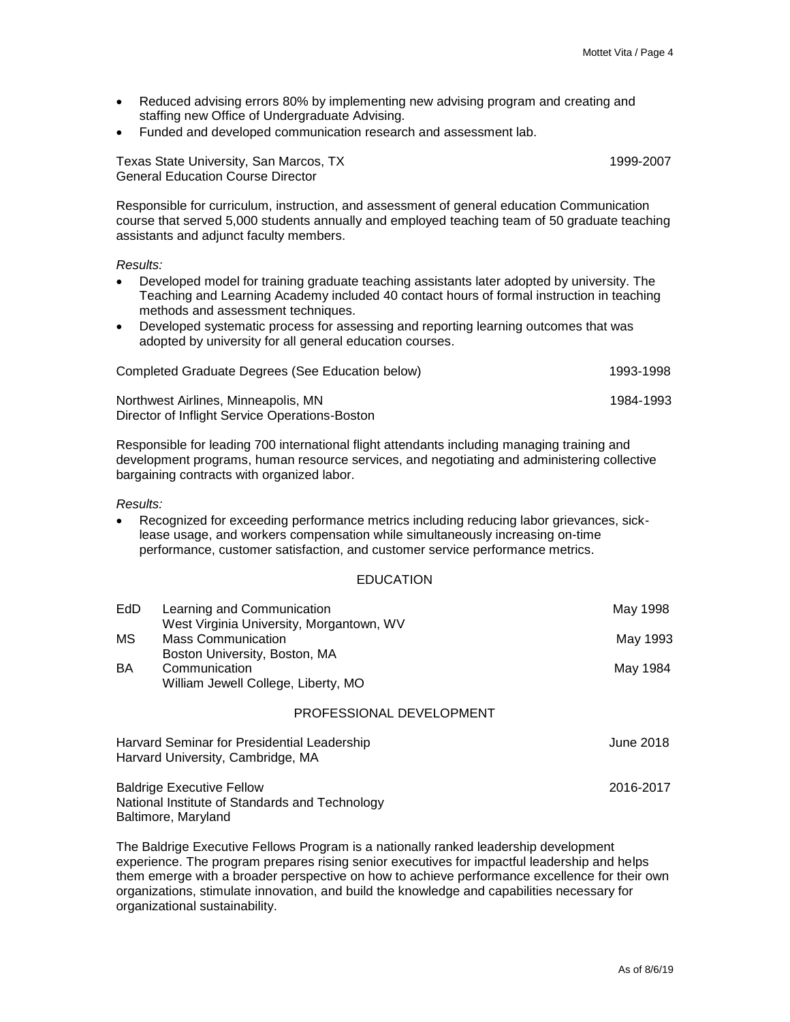- Reduced advising errors 80% by implementing new advising program and creating and staffing new Office of Undergraduate Advising.
- Funded and developed communication research and assessment lab.

Texas State University, San Marcos, TX 1999-2007 General Education Course Director

Responsible for curriculum, instruction, and assessment of general education Communication course that served 5,000 students annually and employed teaching team of 50 graduate teaching assistants and adjunct faculty members.

*Results:*

- Developed model for training graduate teaching assistants later adopted by university. The Teaching and Learning Academy included 40 contact hours of formal instruction in teaching methods and assessment techniques.
- Developed systematic process for assessing and reporting learning outcomes that was adopted by university for all general education courses.

| Completed Graduate Degrees (See Education below) | 1993-1998 |
|--------------------------------------------------|-----------|
| Northwest Airlines, Minneapolis, MN              | 1984-1993 |
| Director of Inflight Service Operations-Boston   |           |

Responsible for leading 700 international flight attendants including managing training and development programs, human resource services, and negotiating and administering collective bargaining contracts with organized labor.

*Results:*

 Recognized for exceeding performance metrics including reducing labor grievances, sicklease usage, and workers compensation while simultaneously increasing on-time performance, customer satisfaction, and customer service performance metrics.

### EDUCATION

| EdD                             | Learning and Communication<br>West Virginia University, Morgantown, WV                | May 1998  |
|---------------------------------|---------------------------------------------------------------------------------------|-----------|
| MS<br><b>Mass Communication</b> | May 1993                                                                              |           |
| BA                              | Boston University, Boston, MA<br>Communication<br>William Jewell College, Liberty, MO | May 1984  |
|                                 | PROFESSIONAL DEVELOPMENT                                                              |           |
|                                 | Harvard Seminar for Presidential Leadership<br>Harvard University, Cambridge, MA      | June 2018 |

Baldrige Executive Fellow 2016-2017 National Institute of Standards and Technology

Baltimore, Maryland

The Baldrige Executive Fellows Program is a nationally ranked leadership development experience. The program prepares rising senior executives for impactful leadership and helps them emerge with a broader perspective on how to achieve performance excellence for their own organizations, stimulate innovation, and build the knowledge and capabilities necessary for organizational sustainability.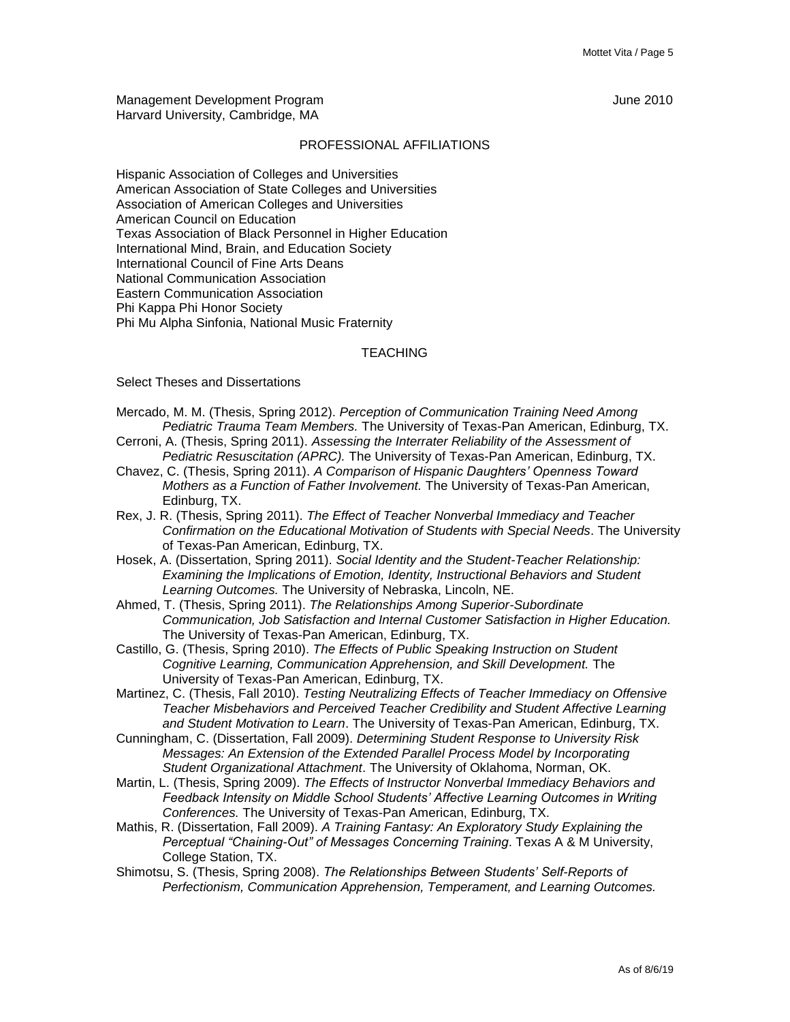Management Development Program June 2010 Harvard University, Cambridge, MA

#### PROFESSIONAL AFFILIATIONS

Hispanic Association of Colleges and Universities American Association of State Colleges and Universities Association of American Colleges and Universities American Council on Education Texas Association of Black Personnel in Higher Education International Mind, Brain, and Education Society International Council of Fine Arts Deans National Communication Association Eastern Communication Association Phi Kappa Phi Honor Society Phi Mu Alpha Sinfonia, National Music Fraternity

#### **TEACHING**

Select Theses and Dissertations

- Mercado, M. M. (Thesis, Spring 2012). *Perception of Communication Training Need Among Pediatric Trauma Team Members.* The University of Texas-Pan American, Edinburg, TX.
- Cerroni, A. (Thesis, Spring 2011). *Assessing the Interrater Reliability of the Assessment of Pediatric Resuscitation (APRC).* The University of Texas-Pan American, Edinburg, TX.
- Chavez, C. (Thesis, Spring 2011). *A Comparison of Hispanic Daughters' Openness Toward Mothers as a Function of Father Involvement.* The University of Texas-Pan American, Edinburg, TX.
- Rex, J. R. (Thesis, Spring 2011). *The Effect of Teacher Nonverbal Immediacy and Teacher Confirmation on the Educational Motivation of Students with Special Needs*. The University of Texas-Pan American, Edinburg, TX.
- Hosek, A. (Dissertation, Spring 2011). *Social Identity and the Student-Teacher Relationship: Examining the Implications of Emotion, Identity, Instructional Behaviors and Student Learning Outcomes.* The University of Nebraska, Lincoln, NE.
- Ahmed, T. (Thesis, Spring 2011). *The Relationships Among Superior-Subordinate Communication, Job Satisfaction and Internal Customer Satisfaction in Higher Education.*  The University of Texas-Pan American, Edinburg, TX.
- Castillo, G. (Thesis, Spring 2010). *The Effects of Public Speaking Instruction on Student Cognitive Learning, Communication Apprehension, and Skill Development.* The University of Texas-Pan American, Edinburg, TX.
- Martinez, C. (Thesis, Fall 2010). *Testing Neutralizing Effects of Teacher Immediacy on Offensive Teacher Misbehaviors and Perceived Teacher Credibility and Student Affective Learning and Student Motivation to Learn*. The University of Texas-Pan American, Edinburg, TX.
- Cunningham, C. (Dissertation, Fall 2009). *Determining Student Response to University Risk Messages: An Extension of the Extended Parallel Process Model by Incorporating Student Organizational Attachment*. The University of Oklahoma, Norman, OK.
- Martin, L. (Thesis, Spring 2009). *The Effects of Instructor Nonverbal Immediacy Behaviors and Feedback Intensity on Middle School Students' Affective Learning Outcomes in Writing Conferences.* The University of Texas-Pan American, Edinburg, TX.
- Mathis, R. (Dissertation, Fall 2009). *A Training Fantasy: An Exploratory Study Explaining the Perceptual "Chaining-Out" of Messages Concerning Training*. Texas A & M University, College Station, TX.
- Shimotsu, S. (Thesis, Spring 2008). *The Relationships Between Students' Self-Reports of Perfectionism, Communication Apprehension, Temperament, and Learning Outcomes.*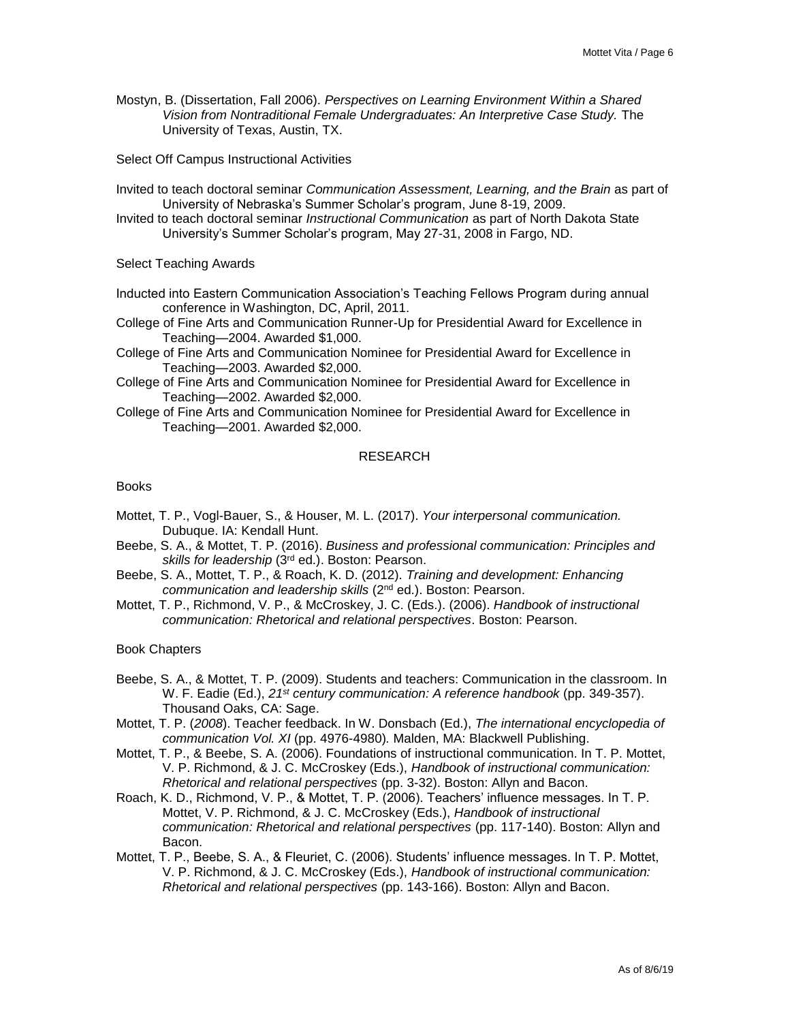Mostyn, B. (Dissertation, Fall 2006). *Perspectives on Learning Environment Within a Shared Vision from Nontraditional Female Undergraduates: An Interpretive Case Study.* The University of Texas, Austin, TX.

Select Off Campus Instructional Activities

- Invited to teach doctoral seminar *Communication Assessment, Learning, and the Brain* as part of University of Nebraska's Summer Scholar's program, June 8-19, 2009.
- Invited to teach doctoral seminar *Instructional Communication* as part of North Dakota State University's Summer Scholar's program, May 27-31, 2008 in Fargo, ND.

Select Teaching Awards

- Inducted into Eastern Communication Association's Teaching Fellows Program during annual conference in Washington, DC, April, 2011.
- College of Fine Arts and Communication Runner-Up for Presidential Award for Excellence in Teaching—2004. Awarded \$1,000.
- College of Fine Arts and Communication Nominee for Presidential Award for Excellence in Teaching—2003. Awarded \$2,000.
- College of Fine Arts and Communication Nominee for Presidential Award for Excellence in Teaching—2002. Awarded \$2,000.
- College of Fine Arts and Communication Nominee for Presidential Award for Excellence in Teaching—2001. Awarded \$2,000.

#### RESEARCH

Books

- Mottet, T. P., Vogl-Bauer, S., & Houser, M. L. (2017). *Your interpersonal communication.*  Dubuque. IA: Kendall Hunt.
- Beebe, S. A., & Mottet, T. P. (2016). *Business and professional communication: Principles and*  skills for leadership (3<sup>rd</sup> ed.). Boston: Pearson.
- Beebe, S. A., Mottet, T. P., & Roach, K. D. (2012). *Training and development: Enhancing communication and leadership skills* (2nd ed.). Boston: Pearson.
- Mottet, T. P., Richmond, V. P., & McCroskey, J. C. (Eds.). (2006). *Handbook of instructional communication: Rhetorical and relational perspectives*. Boston: Pearson.

Book Chapters

- Beebe, S. A., & Mottet, T. P. (2009). Students and teachers: Communication in the classroom. In W. F. Eadie (Ed.), *21st century communication: A reference handbook* (pp. 349-357). Thousand Oaks, CA: Sage.
- Mottet, T. P. (*2008*). Teacher feedback. In W. Donsbach (Ed.), *The international encyclopedia of communication Vol. XI* (pp. 4976-4980)*.* Malden, MA: Blackwell Publishing.
- Mottet, T. P., & Beebe, S. A. (2006). Foundations of instructional communication. In T. P. Mottet, V. P. Richmond, & J. C. McCroskey (Eds.), *Handbook of instructional communication: Rhetorical and relational perspectives* (pp. 3-32). Boston: Allyn and Bacon.
- Roach, K. D., Richmond, V. P., & Mottet, T. P. (2006). Teachers' influence messages. In T. P. Mottet, V. P. Richmond, & J. C. McCroskey (Eds.), *Handbook of instructional communication: Rhetorical and relational perspectives* (pp. 117-140). Boston: Allyn and Bacon.
- Mottet, T. P., Beebe, S. A., & Fleuriet, C. (2006). Students' influence messages. In T. P. Mottet, V. P. Richmond, & J. C. McCroskey (Eds.), *Handbook of instructional communication: Rhetorical and relational perspectives* (pp. 143-166). Boston: Allyn and Bacon.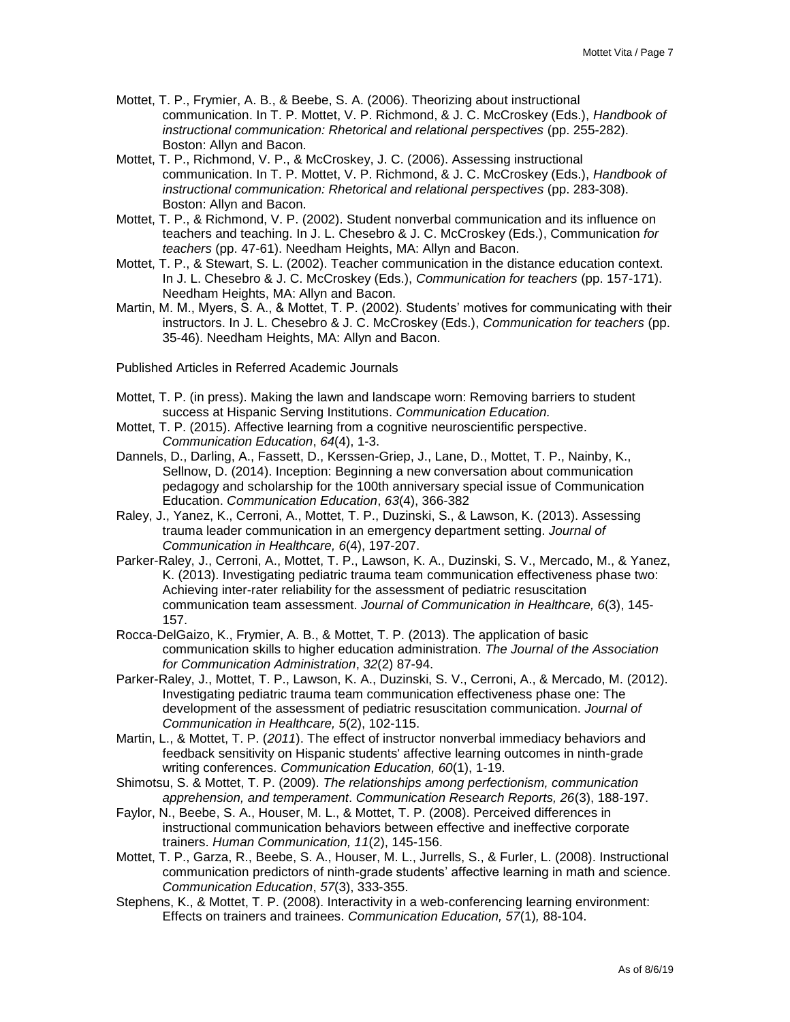- Mottet, T. P., Frymier, A. B., & Beebe, S. A. (2006). Theorizing about instructional communication. In T. P. Mottet, V. P. Richmond, & J. C. McCroskey (Eds.), *Handbook of instructional communication: Rhetorical and relational perspectives* (pp. 255-282). Boston: Allyn and Bacon.
- Mottet, T. P., Richmond, V. P., & McCroskey, J. C. (2006). Assessing instructional communication. In T. P. Mottet, V. P. Richmond, & J. C. McCroskey (Eds.), *Handbook of instructional communication: Rhetorical and relational perspectives* (pp. 283-308). Boston: Allyn and Bacon.
- Mottet, T. P., & Richmond, V. P. (2002). Student nonverbal communication and its influence on teachers and teaching. In J. L. Chesebro & J. C. McCroskey (Eds.), Communication *for teachers* (pp. 47-61). Needham Heights, MA: Allyn and Bacon.
- Mottet, T. P., & Stewart, S. L. (2002). Teacher communication in the distance education context. In J. L. Chesebro & J. C. McCroskey (Eds.), *Communication for teachers* (pp. 157-171). Needham Heights, MA: Allyn and Bacon.
- Martin, M. M., Myers, S. A., & Mottet, T. P. (2002). Students' motives for communicating with their instructors. In J. L. Chesebro & J. C. McCroskey (Eds.), *Communication for teachers* (pp. 35-46). Needham Heights, MA: Allyn and Bacon.
- Published Articles in Referred Academic Journals
- Mottet, T. P. (in press). Making the lawn and landscape worn: Removing barriers to student success at Hispanic Serving Institutions. *Communication Education.*
- Mottet, T. P. (2015). Affective learning from a cognitive neuroscientific perspective. *Communication Education*, *64*(4), 1-3.
- Dannels, D., Darling, A., Fassett, D., Kerssen-Griep, J., Lane, D., Mottet, T. P., Nainby, K., Sellnow, D. (2014). Inception: Beginning a new conversation about communication pedagogy and scholarship for the 100th anniversary special issue of Communication Education. *Communication Education*, *63*(4), 366-382
- Raley, J., Yanez, K., Cerroni, A., Mottet, T. P., Duzinski, S., & Lawson, K. (2013). Assessing trauma leader communication in an emergency department setting. *Journal of Communication in Healthcare, 6*(4), 197-207.
- Parker-Raley, J., Cerroni, A., Mottet, T. P., Lawson, K. A., Duzinski, S. V., Mercado, M., & Yanez, K. (2013). Investigating pediatric trauma team communication effectiveness phase two: Achieving inter-rater reliability for the assessment of pediatric resuscitation communication team assessment. *Journal of Communication in Healthcare, 6*(3), 145- 157.
- Rocca-DelGaizo, K., Frymier, A. B., & Mottet, T. P. (2013). The application of basic communication skills to higher education administration. *The Journal of the Association for Communication Administration*, *32*(2) 87-94.
- Parker-Raley, J., Mottet, T. P., Lawson, K. A., Duzinski, S. V., Cerroni, A., & Mercado, M. (2012). Investigating pediatric trauma team communication effectiveness phase one: The development of the assessment of pediatric resuscitation communication. *Journal of Communication in Healthcare, 5*(2), 102-115.
- Martin, L., & Mottet, T. P. (*2011*). The effect of instructor nonverbal immediacy behaviors and feedback sensitivity on Hispanic students' affective learning outcomes in ninth-grade writing conferences. *Communication Education, 60*(1), 1-19.
- Shimotsu, S. & Mottet, T. P. (2009). *The relationships among perfectionism, communication apprehension, and temperament*. *Communication Research Reports, 26*(3), 188-197.
- Faylor, N., Beebe, S. A., Houser, M. L., & Mottet, T. P. (2008). Perceived differences in instructional communication behaviors between effective and ineffective corporate trainers. *Human Communication, 11*(2), 145-156.
- Mottet, T. P., Garza, R., Beebe, S. A., Houser, M. L., Jurrells, S., & Furler, L. (2008). Instructional communication predictors of ninth-grade students' affective learning in math and science. *Communication Education*, *57*(3), 333-355.
- Stephens, K., & Mottet, T. P. (2008). Interactivity in a web-conferencing learning environment: Effects on trainers and trainees. *Communication Education, 57*(1)*,* 88-104.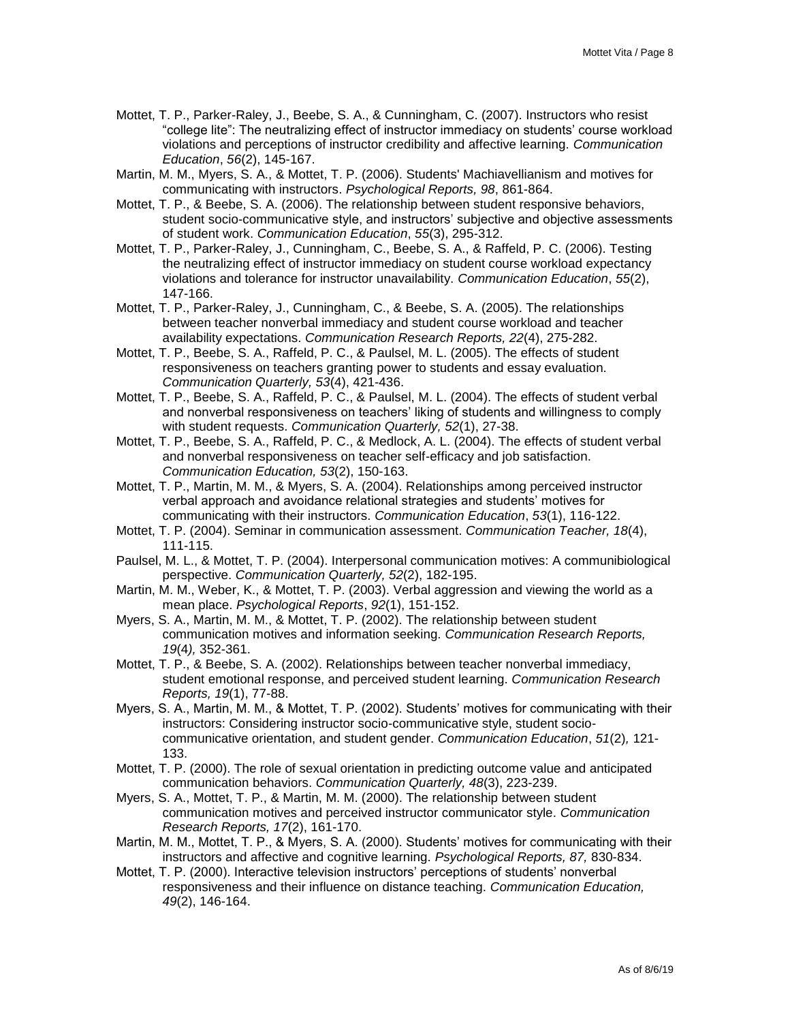- Mottet, T. P., Parker-Raley, J., Beebe, S. A., & Cunningham, C. (2007). Instructors who resist "college lite": The neutralizing effect of instructor immediacy on students' course workload violations and perceptions of instructor credibility and affective learning. *Communication Education*, *56*(2), 145-167.
- Martin, M. M., Myers, S. A., & Mottet, T. P. (2006). Students' Machiavellianism and motives for communicating with instructors. *Psychological Reports, 98*, 861-864.
- Mottet, T. P., & Beebe, S. A. (2006). The relationship between student responsive behaviors, student socio-communicative style, and instructors' subjective and objective assessments of student work. *Communication Education*, *55*(3), 295-312.
- Mottet, T. P., Parker-Raley, J., Cunningham, C., Beebe, S. A., & Raffeld, P. C. (2006). Testing the neutralizing effect of instructor immediacy on student course workload expectancy violations and tolerance for instructor unavailability. *Communication Education*, *55*(2), 147-166.
- Mottet, T. P., Parker-Raley, J., Cunningham, C., & Beebe, S. A. (2005). The relationships between teacher nonverbal immediacy and student course workload and teacher availability expectations. *Communication Research Reports, 22*(4), 275-282.
- Mottet, T. P., Beebe, S. A., Raffeld, P. C., & Paulsel, M. L. (2005). The effects of student responsiveness on teachers granting power to students and essay evaluation. *Communication Quarterly, 53*(4), 421-436.
- Mottet, T. P., Beebe, S. A., Raffeld, P. C., & Paulsel, M. L. (2004). The effects of student verbal and nonverbal responsiveness on teachers' liking of students and willingness to comply with student requests. *Communication Quarterly, 52*(1), 27-38.
- Mottet, T. P., Beebe, S. A., Raffeld, P. C., & Medlock, A. L. (2004). The effects of student verbal and nonverbal responsiveness on teacher self-efficacy and job satisfaction. *Communication Education, 53*(2), 150-163.
- Mottet, T. P., Martin, M. M., & Myers, S. A. (2004). Relationships among perceived instructor verbal approach and avoidance relational strategies and students' motives for communicating with their instructors. *Communication Education*, *53*(1), 116-122.
- Mottet, T. P. (2004). Seminar in communication assessment. *Communication Teacher, 18*(4), 111-115.
- Paulsel, M. L., & Mottet, T. P. (2004). Interpersonal communication motives: A communibiological perspective. *Communication Quarterly, 52*(2), 182-195.
- Martin, M. M., Weber, K., & Mottet, T. P. (2003). Verbal aggression and viewing the world as a mean place. *Psychological Reports*, *92*(1), 151-152.
- Myers, S. A., Martin, M. M., & Mottet, T. P. (2002). The relationship between student communication motives and information seeking. *Communication Research Reports, 19*(4*),* 352-361.
- Mottet, T. P., & Beebe, S. A. (2002). Relationships between teacher nonverbal immediacy, student emotional response, and perceived student learning. *Communication Research Reports, 19*(1), 77-88.
- Myers, S. A., Martin, M. M., & Mottet, T. P. (2002). Students' motives for communicating with their instructors: Considering instructor socio-communicative style, student sociocommunicative orientation, and student gender. *Communication Education*, *51*(2)*,* 121- 133.
- Mottet, T. P. (2000). The role of sexual orientation in predicting outcome value and anticipated communication behaviors. *Communication Quarterly, 48*(3), 223-239.
- Myers, S. A., Mottet, T. P., & Martin, M. M. (2000). The relationship between student communication motives and perceived instructor communicator style. *Communication Research Reports, 17*(2), 161-170.
- Martin, M. M., Mottet, T. P., & Myers, S. A. (2000). Students' motives for communicating with their instructors and affective and cognitive learning. *Psychological Reports, 87,* 830-834.
- Mottet, T. P. (2000). Interactive television instructors' perceptions of students' nonverbal responsiveness and their influence on distance teaching. *Communication Education, 49*(2), 146-164.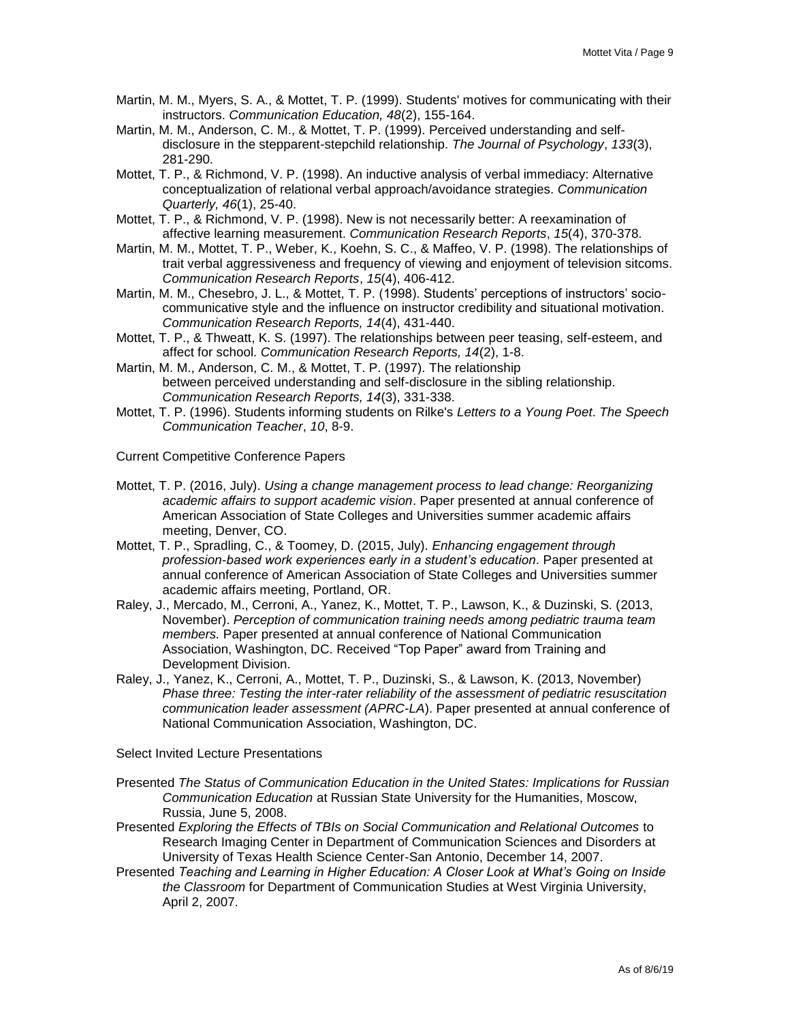- Martin, M. M., Myers, S. A., & Mottet, T. P. (1999). Students' motives for communicating with their instructors. *Communication Education, 48*(2), 155-164.
- Martin, M. M., Anderson, C. M., & Mottet, T. P. (1999). Perceived understanding and selfdisclosure in the stepparent-stepchild relationship. *The Journal of Psychology*, *133*(3), 281-290.
- Mottet, T. P., & Richmond, V. P. (1998). An inductive analysis of verbal immediacy: Alternative conceptualization of relational verbal approach/avoidance strategies. *Communication Quarterly, 46*(1), 25-40.
- Mottet, T. P., & Richmond, V. P. (1998). New is not necessarily better: A reexamination of affective learning measurement. *Communication Research Reports*, *15*(4), 370-378.
- Martin, M. M., Mottet, T. P., Weber, K., Koehn, S. C., & Maffeo, V. P. (1998). The relationships of trait verbal aggressiveness and frequency of viewing and enjoyment of television sitcoms. *Communication Research Reports*, *15*(4), 406-412.
- Martin, M. M., Chesebro, J. L., & Mottet, T. P. (1998). Students' perceptions of instructors' sociocommunicative style and the influence on instructor credibility and situational motivation. *Communication Research Reports, 14*(4), 431-440.
- Mottet, T. P., & Thweatt, K. S. (1997). The relationships between peer teasing, self-esteem, and affect for school. *Communication Research Reports, 14*(2), 1-8.
- Martin, M. M., Anderson, C. M., & Mottet, T. P. (1997). The relationship between perceived understanding and self-disclosure in the sibling relationship. *Communication Research Reports, 14*(3), 331-338.
- Mottet, T. P. (1996). Students informing students on Rilke's *Letters to a Young Poet*. *The Speech Communication Teacher*, *10*, 8-9.
- Current Competitive Conference Papers
- Mottet, T. P. (2016, July). *Using a change management process to lead change: Reorganizing academic affairs to support academic vision*. Paper presented at annual conference of American Association of State Colleges and Universities summer academic affairs meeting, Denver, CO.
- Mottet, T. P., Spradling, C., & Toomey, D. (2015, July). *Enhancing engagement through profession-based work experiences early in a student's education*. Paper presented at annual conference of American Association of State Colleges and Universities summer academic affairs meeting, Portland, OR.
- Raley, J., Mercado, M., Cerroni, A., Yanez, K., Mottet, T. P., Lawson, K., & Duzinski, S. (2013, November). *Perception of communication training needs among pediatric trauma team members.* Paper presented at annual conference of National Communication Association, Washington, DC. Received "Top Paper" award from Training and Development Division.
- Raley, J., Yanez, K., Cerroni, A., Mottet, T. P., Duzinski, S., & Lawson, K. (2013, November) *Phase three: Testing the inter-rater reliability of the assessment of pediatric resuscitation communication leader assessment (APRC-LA*). Paper presented at annual conference of National Communication Association, Washington, DC.

Select Invited Lecture Presentations

- Presented *The Status of Communication Education in the United States: Implications for Russian Communication Education* at Russian State University for the Humanities, Moscow, Russia, June 5, 2008.
- Presented *Exploring the Effects of TBIs on Social Communication and Relational Outcomes* to Research Imaging Center in Department of Communication Sciences and Disorders at University of Texas Health Science Center-San Antonio, December 14, 2007.
- Presented *Teaching and Learning in Higher Education: A Closer Look at What's Going on Inside the Classroom* for Department of Communication Studies at West Virginia University, April 2, 2007.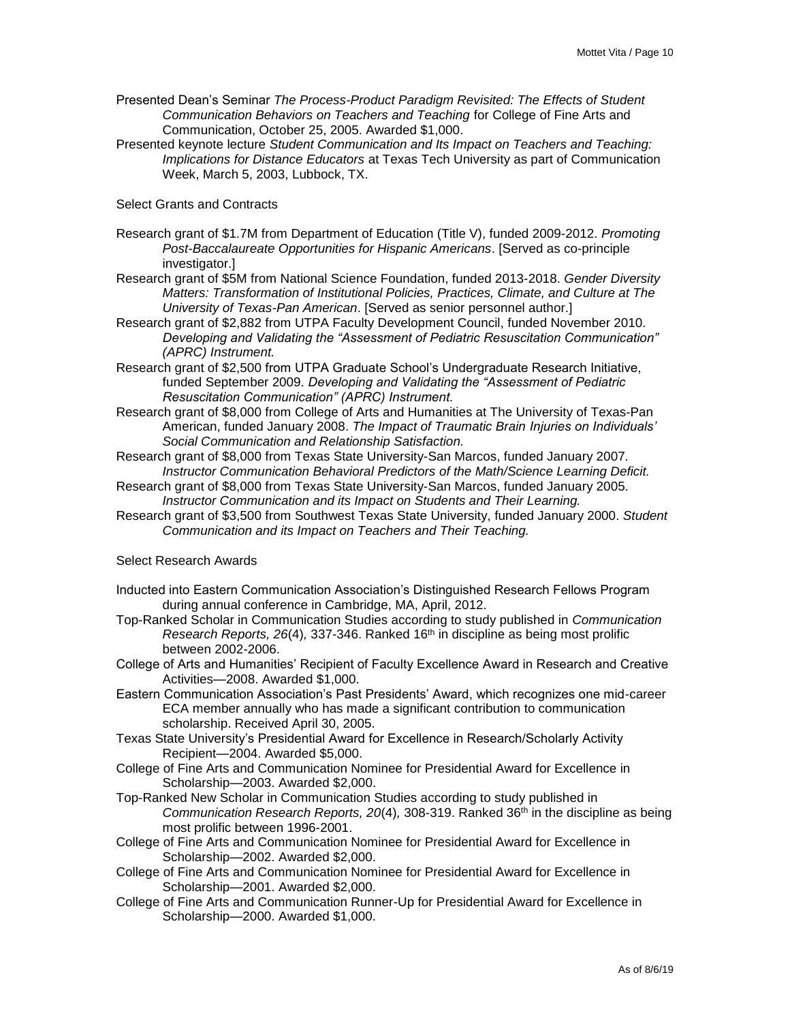- Presented Dean's Seminar *The Process-Product Paradigm Revisited: The Effects of Student Communication Behaviors on Teachers and Teaching* for College of Fine Arts and Communication, October 25, 2005. Awarded \$1,000.
- Presented keynote lecture *Student Communication and Its Impact on Teachers and Teaching: Implications for Distance Educators* at Texas Tech University as part of Communication Week, March 5, 2003, Lubbock, TX.

# Select Grants and Contracts

- Research grant of \$1.7M from Department of Education (Title V), funded 2009-2012. *Promoting Post-Baccalaureate Opportunities for Hispanic Americans*. [Served as co-principle investigator.]
- Research grant of \$5M from National Science Foundation, funded 2013-2018. *Gender Diversity Matters: Transformation of Institutional Policies, Practices, Climate, and Culture at The University of Texas-Pan American*. [Served as senior personnel author.]
- Research grant of \$2,882 from UTPA Faculty Development Council, funded November 2010. *Developing and Validating the "Assessment of Pediatric Resuscitation Communication" (APRC) Instrument.*
- Research grant of \$2,500 from UTPA Graduate School's Undergraduate Research Initiative, funded September 2009. *Developing and Validating the "Assessment of Pediatric Resuscitation Communication" (APRC) Instrument.*
- Research grant of \$8,000 from College of Arts and Humanities at The University of Texas-Pan American, funded January 2008. *The Impact of Traumatic Brain Injuries on Individuals' Social Communication and Relationship Satisfaction.*
- Research grant of \$8,000 from Texas State University-San Marcos, funded January 2007. *Instructor Communication Behavioral Predictors of the Math/Science Learning Deficit.*
- Research grant of \$8,000 from Texas State University-San Marcos, funded January 2005. *Instructor Communication and its Impact on Students and Their Learning.*
- Research grant of \$3,500 from Southwest Texas State University, funded January 2000. *Student Communication and its Impact on Teachers and Their Teaching.*

# Select Research Awards

- Inducted into Eastern Communication Association's Distinguished Research Fellows Program during annual conference in Cambridge, MA, April, 2012.
- Top-Ranked Scholar in Communication Studies according to study published in *Communication Research Reports, 26(4), 337-346. Ranked 16<sup>th</sup> in discipline as being most prolific* between 2002-2006.
- College of Arts and Humanities' Recipient of Faculty Excellence Award in Research and Creative Activities—2008. Awarded \$1,000.
- Eastern Communication Association's Past Presidents' Award, which recognizes one mid-career ECA member annually who has made a significant contribution to communication scholarship. Received April 30, 2005.
- Texas State University's Presidential Award for Excellence in Research/Scholarly Activity Recipient—2004. Awarded \$5,000.
- College of Fine Arts and Communication Nominee for Presidential Award for Excellence in Scholarship—2003. Awarded \$2,000.
- Top-Ranked New Scholar in Communication Studies according to study published in *Communication Research Reports, 20*(4)*,* 308-319. Ranked 36th in the discipline as being most prolific between 1996-2001.
- College of Fine Arts and Communication Nominee for Presidential Award for Excellence in Scholarship—2002. Awarded \$2,000.
- College of Fine Arts and Communication Nominee for Presidential Award for Excellence in Scholarship—2001. Awarded \$2,000.
- College of Fine Arts and Communication Runner-Up for Presidential Award for Excellence in Scholarship—2000. Awarded \$1,000.